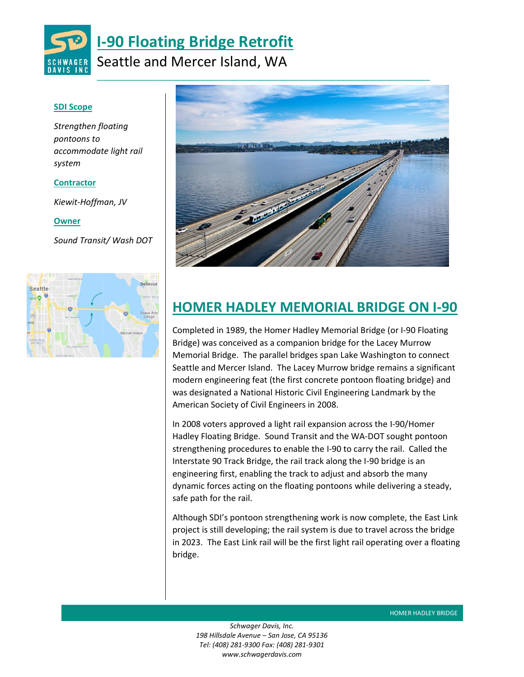

## **SDI Scope**

*Strengthen floating pontoons to accommodate light rail system* 

### **Contractor**

*Kiewit-Hoffman, JV*

#### **Owner**

*Sound Transit/ Wash DOT* 





# **HOMER HADLEY MEMORIAL BRIDGE ON I-90**

Completed in 1989, the Homer Hadley Memorial Bridge (or I-90 Floating Bridge) was conceived as a companion bridge for the Lacey Murrow Memorial Bridge. The parallel bridges span Lake Washington to connect Seattle and Mercer Island. The Lacey Murrow bridge remains a significant modern engineering feat (the first concrete pontoon floating bridge) and was designated a National Historic Civil Engineering Landmark by the American Society of Civil Engineers in 2008.

In 2008 voters approved a light rail expansion across the I-90/Homer Hadley Floating Bridge. Sound Transit and the WA-DOT sought pontoon strengthening procedures to enable the I-90 to carry the rail. Called the Interstate 90 Track Bridge, the rail track along the I-90 bridge is an engineering first, enabling the track to adjust and absorb the many dynamic forces acting on the floating pontoons while delivering a steady, safe path for the rail.

Although SDI's pontoon strengthening work is now complete, the East Link project is still developing; the rail system is due to travel across the bridge in 2023. The East Link rail will be the first light rail operating over a floating bridge.

*Schwager Davis, Inc. 198 Hillsdale Avenue – San Jose, CA 95136 Tel: (408) 281-9300 Fax: (408) 281-9301 www.schwagerdavis.com* 

**HOMER HADLEY BRIDGE**